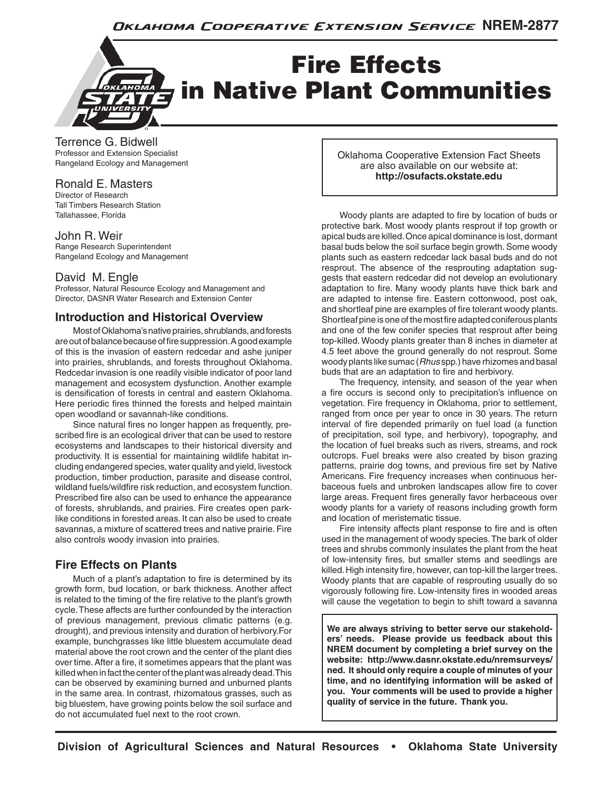

Terrence G. Bidwell Professor and Extension Specialist Rangeland Ecology and Management

### Ronald E. Masters

Director of Research Tall Timbers Research Station Tallahassee, Florida

#### John R. Weir

Range Research Superintendent Rangeland Ecology and Management

### David M. Engle

Professor, Natural Resource Ecology and Management and Director, DASNR Water Research and Extension Center

### **Introduction and Historical Overview**

 Most of Oklahoma's native prairies, shrublands, and forests are out of balance because of fire suppression. A good example of this is the invasion of eastern redcedar and ashe juniper into prairies, shrublands, and forests throughout Oklahoma. Redcedar invasion is one readily visible indicator of poor land management and ecosystem dysfunction. Another example is densification of forests in central and eastern Oklahoma. Here periodic fires thinned the forests and helped maintain open woodland or savannah-like conditions.

 Since natural fires no longer happen as frequently, prescribed fire is an ecological driver that can be used to restore ecosystems and landscapes to their historical diversity and productivity. It is essential for maintaining wildlife habitat including endangered species, water quality and yield, livestock production, timber production, parasite and disease control, wildland fuels/wildfire risk reduction, and ecosystem function. Prescribed fire also can be used to enhance the appearance of forests, shrublands, and prairies. Fire creates open parklike conditions in forested areas. It can also be used to create savannas, a mixture of scattered trees and native prairie. Fire also controls woody invasion into prairies.

# **Fire Effects on Plants**

 Much of a plant's adaptation to fire is determined by its growth form, bud location, or bark thickness. Another affect is related to the timing of the fire relative to the plant's growth cycle. These affects are further confounded by the interaction of previous management, previous climatic patterns (e.g. drought), and previous intensity and duration of herbivory.For example, bunchgrasses like little bluestem accumulate dead material above the root crown and the center of the plant dies over time. After a fire, it sometimes appears that the plant was killed when in fact the center of the plant was already dead. This can be observed by examining burned and unburned plants in the same area. In contrast, rhizomatous grasses, such as big bluestem, have growing points below the soil surface and do not accumulated fuel next to the root crown.

Oklahoma Cooperative Extension Fact Sheets are also available on our website at: **http://osufacts.okstate.edu**

 Woody plants are adapted to fire by location of buds or protective bark. Most woody plants resprout if top growth or apical buds are killed. Once apical dominance is lost, dormant basal buds below the soil surface begin growth. Some woody plants such as eastern redcedar lack basal buds and do not resprout. The absence of the resprouting adaptation suggests that eastern redcedar did not develop an evolutionary adaptation to fire. Many woody plants have thick bark and are adapted to intense fire. Eastern cottonwood, post oak, and shortleaf pine are examples of fire tolerant woody plants. Shortleaf pine is one of the most fire adapted coniferous plants and one of the few conifer species that resprout after being top-killed. Woody plants greater than 8 inches in diameter at 4.5 feet above the ground generally do not resprout. Some woody plants like sumac (*Rhus* spp.) have rhizomes and basal buds that are an adaptation to fire and herbivory.

 The frequency, intensity, and season of the year when a fire occurs is second only to precipitation's influence on vegetation. Fire frequency in Oklahoma, prior to settlement, ranged from once per year to once in 30 years. The return interval of fire depended primarily on fuel load (a function of precipitation, soil type, and herbivory), topography, and the location of fuel breaks such as rivers, streams, and rock outcrops. Fuel breaks were also created by bison grazing patterns, prairie dog towns, and previous fire set by Native Americans. Fire frequency increases when continuous herbaceous fuels and unbroken landscapes allow fire to cover large areas. Frequent fires generally favor herbaceous over woody plants for a variety of reasons including growth form and location of meristematic tissue.

 Fire intensity affects plant response to fire and is often used in the management of woody species. The bark of older trees and shrubs commonly insulates the plant from the heat of low-intensity fires, but smaller stems and seedlings are killed. High intensity fire, however, can top-kill the larger trees. Woody plants that are capable of resprouting usually do so vigorously following fire. Low-intensity fires in wooded areas will cause the vegetation to begin to shift toward a savanna

**We are always striving to better serve our stakeholders' needs. Please provide us feedback about this NREM document by completing a brief survey on the website: http://www.dasnr.okstate.edu/nremsurveys/ ned. It should only require a couple of minutes of your time, and no identifying information will be asked of you. Your comments will be used to provide a higher quality of service in the future. Thank you.**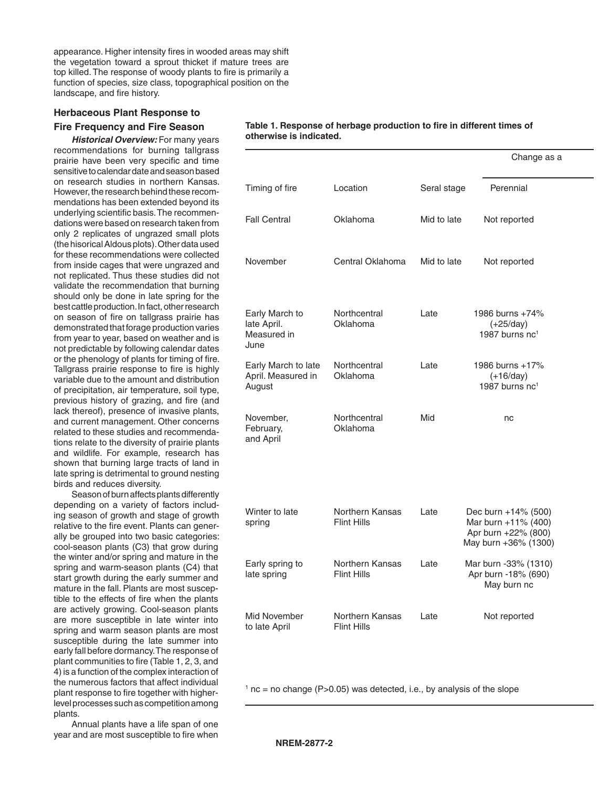appearance. Higher intensity fires in wooded areas may shift the vegetation toward a sprout thicket if mature trees are top killed. The response of woody plants to fire is primarily a function of species, size class, topographical position on the landscape, and fire history.

#### **Herbaceous Plant Response to**

#### **Fire Frequency and Fire Season**

**Historical Overview: For many years** recommendations for burning tallgrass prairie have been very specific and time sensitive to calendar date and season based on research studies in northern Kansas. However, the research behind these recommendations has been extended beyond its underlying scientific basis. The recommendations were based on research taken from only 2 replicates of ungrazed small plots (the hisorical Aldous plots). Other data used for these recommendations were collected from inside cages that were ungrazed and not replicated. Thus these studies did not validate the recommendation that burning should only be done in late spring for the best cattle production. In fact, other research on season of fire on tallgrass prairie has demonstrated that forage production varies from year to year, based on weather and is not predictable by following calendar dates or the phenology of plants for timing of fire. Tallgrass prairie response to fire is highly variable due to the amount and distribution of precipitation, air temperature, soil type, previous history of grazing, and fire (and lack thereof), presence of invasive plants, and current management. Other concerns related to these studies and recommendations relate to the diversity of prairie plants and wildlife. For example, research has shown that burning large tracts of land in late spring is detrimental to ground nesting birds and reduces diversity.

 Season of burn affects plants differently depending on a variety of factors including season of growth and stage of growth relative to the fire event. Plants can generally be grouped into two basic categories: cool-season plants (C3) that grow during the winter and/or spring and mature in the spring and warm-season plants (C4) that start growth during the early summer and mature in the fall. Plants are most susceptible to the effects of fire when the plants are actively growing. Cool-season plants are more susceptible in late winter into spring and warm season plants are most susceptible during the late summer into early fall before dormancy. The response of plant communities to fire (Table 1, 2, 3, and 4) is a function of the complex interaction of the numerous factors that affect individual plant response to fire together with higherlevel processes such as competition among plants.

 Annual plants have a life span of one year and are most susceptible to fire when

| Table 1. Response of herbage production to fire in different times of |  |  |  |
|-----------------------------------------------------------------------|--|--|--|
| otherwise is indicated.                                               |  |  |  |

|                                                      |                                              |             | Change as a                                                                               |
|------------------------------------------------------|----------------------------------------------|-------------|-------------------------------------------------------------------------------------------|
| Timing of fire                                       | Location                                     | Seral stage | Perennial                                                                                 |
| <b>Fall Central</b>                                  | Oklahoma                                     | Mid to late | Not reported                                                                              |
| November                                             | Central Oklahoma                             | Mid to late | Not reported                                                                              |
| Early March to<br>late April.<br>Measured in<br>June | Northcentral<br>Oklahoma                     | Late        | 1986 burns +74%<br>$(+25/day)$<br>1987 burns nc <sup>1</sup>                              |
| Early March to late<br>April. Measured in<br>August  | Northcentral<br>Oklahoma                     | Late        | 1986 burns +17%<br>$(+16/day)$<br>1987 burns nc <sup>1</sup>                              |
| November,<br>February,<br>and April                  | Northcentral<br>Oklahoma                     | Mid         | nc                                                                                        |
| Winter to late<br>spring                             | <b>Northern Kansas</b><br>Flint Hills        | Late        | Dec burn +14% (500)<br>Mar burn +11% (400)<br>Apr burn +22% (800)<br>May burn +36% (1300) |
| Early spring to<br>late spring                       | <b>Northern Kansas</b><br><b>Flint Hills</b> | Late        | Mar burn -33% (1310)<br>Apr burn -18% (690)<br>May burn nc                                |
| Mid November<br>to late April                        | <b>Northern Kansas</b><br>Flint Hills        | Late        | Not reported                                                                              |

 $1$  nc = no change (P>0.05) was detected, i.e., by analysis of the slope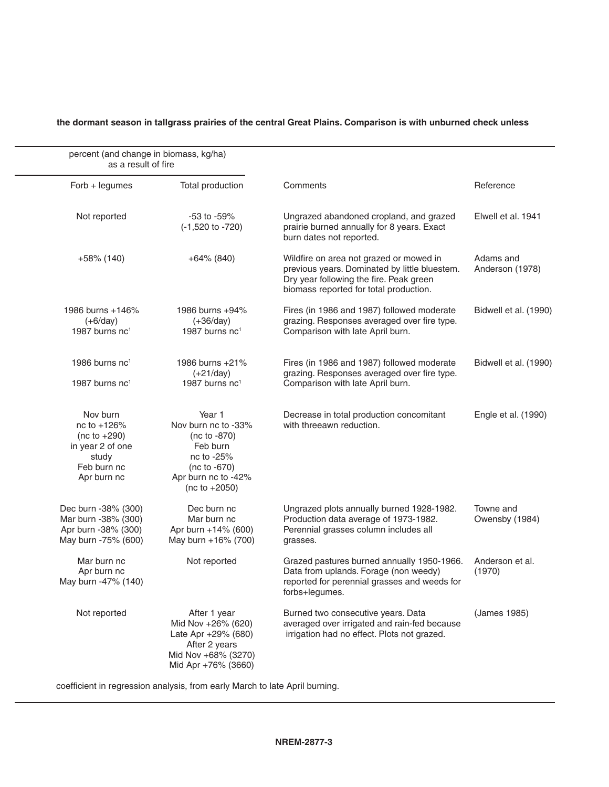### **the dormant season in tallgrass prairies of the central Great Plains. Comparison is with unburned check unless**

| percent (and change in biomass, kg/ha)<br>as a result of fire                                        |                                                                                                                                     |                                                                                                                                                                               |                              |
|------------------------------------------------------------------------------------------------------|-------------------------------------------------------------------------------------------------------------------------------------|-------------------------------------------------------------------------------------------------------------------------------------------------------------------------------|------------------------------|
| $Forb + legumes$                                                                                     | Total production                                                                                                                    | Comments                                                                                                                                                                      | Reference                    |
| Not reported                                                                                         | $-53$ to $-59\%$<br>$(-1,520 \text{ to } -720)$                                                                                     | Ungrazed abandoned cropland, and grazed<br>prairie burned annually for 8 years. Exact<br>burn dates not reported.                                                             | Elwell et al. 1941           |
| $+58\%$ (140)                                                                                        | $+64\%$ (840)                                                                                                                       | Wildfire on area not grazed or mowed in<br>previous years. Dominated by little bluestem.<br>Dry year following the fire. Peak green<br>biomass reported for total production. | Adams and<br>Anderson (1978) |
| 1986 burns +146%<br>$(+6/day)$<br>1987 burns $nc1$                                                   | 1986 burns +94%<br>$(+36/day)$<br>1987 burns $nc1$                                                                                  | Fires (in 1986 and 1987) followed moderate<br>grazing. Responses averaged over fire type.<br>Comparison with late April burn.                                                 | Bidwell et al. (1990)        |
| 1986 burns $nc1$<br>1987 burns nc <sup>1</sup>                                                       | 1986 burns +21%<br>$(+21/day)$<br>1987 burns $nc1$                                                                                  | Fires (in 1986 and 1987) followed moderate<br>grazing. Responses averaged over fire type.<br>Comparison with late April burn.                                                 | Bidwell et al. (1990)        |
| Nov burn<br>nc to +126%<br>$(nc to +290)$<br>in year 2 of one<br>study<br>Feb burn nc<br>Apr burn nc | Year 1<br>Nov burn nc to -33%<br>(nc to -870)<br>Feb burn<br>nc to -25%<br>$(nc to -670)$<br>Apr burn nc to -42%<br>$(nc to +2050)$ | Decrease in total production concomitant<br>with threeawn reduction.                                                                                                          | Engle et al. (1990)          |
| Dec burn -38% (300)<br>Mar burn -38% (300)<br>Apr burn -38% (300)<br>May burn -75% (600)             | Dec burn nc<br>Mar burn nc<br>Apr burn +14% (600)<br>May burn +16% (700)                                                            | Ungrazed plots annually burned 1928-1982.<br>Production data average of 1973-1982.<br>Perennial grasses column includes all<br>grasses.                                       | Towne and<br>Owensby (1984)  |
| Mar burn nc<br>Apr burn nc<br>May burn -47% (140)                                                    | Not reported                                                                                                                        | Grazed pastures burned annually 1950-1966.<br>Data from uplands. Forage (non weedy)<br>reported for perennial grasses and weeds for<br>forbs+legumes.                         | Anderson et al.<br>(1970)    |
| Not reported                                                                                         | After 1 year<br>Mid Nov +26% (620)<br>Late Apr +29% (680)<br>After 2 years<br>Mid Nov +68% (3270)<br>Mid Apr +76% (3660)            | Burned two consecutive years. Data<br>averaged over irrigated and rain-fed because<br>irrigation had no effect. Plots not grazed.                                             | (James 1985)                 |

coefficient in regression analysis, from early March to late April burning.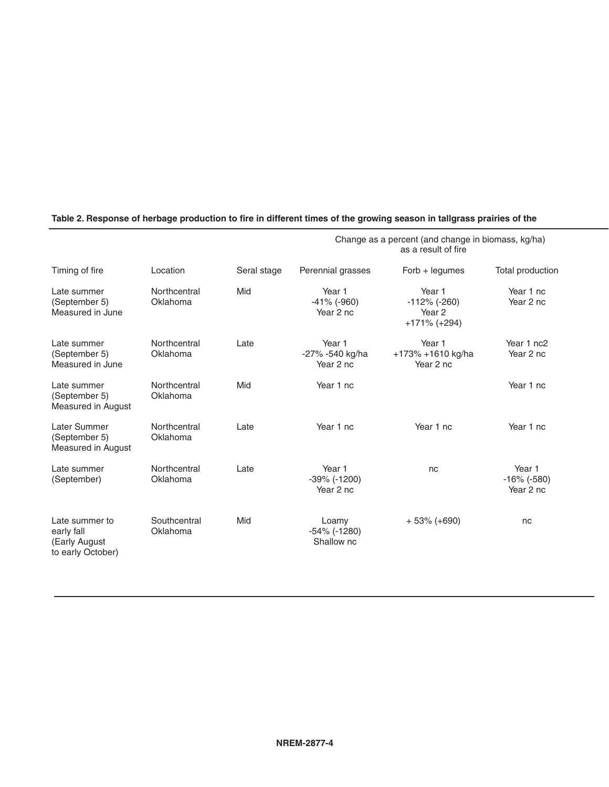|                                                                    |                          |             |                                            | Change as a percent (and change in biomass, kg/ha)<br>as a result of fire |                                       |
|--------------------------------------------------------------------|--------------------------|-------------|--------------------------------------------|---------------------------------------------------------------------------|---------------------------------------|
| Timing of fire                                                     | Location                 | Seral stage | Perennial grasses                          | $Forb + legumes$                                                          | Total production                      |
| Late summer<br>(September 5)<br>Measured in June                   | Northcentral<br>Oklahoma | Mid         | Year 1<br>$-41\%$ ( $-960$ )<br>Year 2 nc  | Year 1<br>$-112%$ (-260)<br>Year 2<br>$+171\%$ (+294)                     | Year 1 nc<br>Year 2 nc                |
| Late summer<br>(September 5)<br>Measured in June                   | Northcentral<br>Oklahoma | Late        | Year 1<br>-27% -540 kg/ha<br>Year 2 nc     | Year 1<br>+173% +1610 kg/ha<br>Year 2 nc                                  | Year 1 nc2<br>Year 2 nc               |
| Late summer<br>(September 5)<br>Measured in August                 | Northcentral<br>Oklahoma | Mid         | Year 1 nc                                  |                                                                           | Year 1 nc                             |
| Later Summer<br>(September 5)<br>Measured in August                | Northcentral<br>Oklahoma | Late        | Year 1 nc                                  | Year 1 nc                                                                 | Year 1 nc                             |
| Late summer<br>(September)                                         | Northcentral<br>Oklahoma | Late        | Year 1<br>$-39\%$ ( $-1200$ )<br>Year 2 nc | nc                                                                        | Year 1<br>$-16\%$ (-580)<br>Year 2 nc |
| Late summer to<br>early fall<br>(Early August<br>to early October) | Southcentral<br>Oklahoma | Mid         | Loamy<br>$-54\%$ ( $-1280$ )<br>Shallow nc | $+53\% (+690)$                                                            | nc                                    |

# Table 2. Response of herbage production to fire in different times of the growing season in tallgrass prairies of the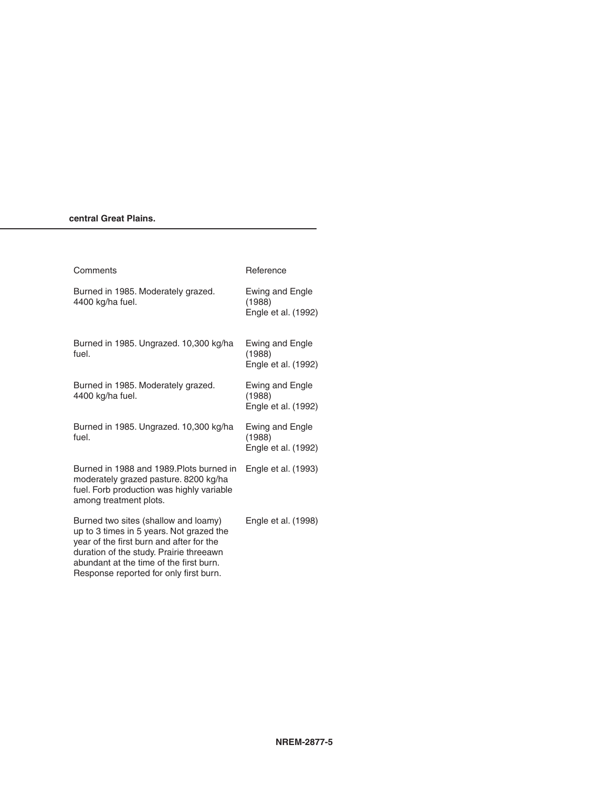#### central Great Plains.

| Comments                                                                                                                                                                                                                                                     | Reference                                        |
|--------------------------------------------------------------------------------------------------------------------------------------------------------------------------------------------------------------------------------------------------------------|--------------------------------------------------|
| Burned in 1985. Moderately grazed.<br>4400 kg/ha fuel.                                                                                                                                                                                                       | Ewing and Engle<br>(1988)<br>Engle et al. (1992) |
| Burned in 1985. Ungrazed. 10,300 kg/ha<br>fuel.                                                                                                                                                                                                              | Ewing and Engle<br>(1988)<br>Engle et al. (1992) |
| Burned in 1985. Moderately grazed.<br>4400 kg/ha fuel.                                                                                                                                                                                                       | Ewing and Engle<br>(1988)<br>Engle et al. (1992) |
| Burned in 1985. Ungrazed. 10,300 kg/ha<br>fuel.                                                                                                                                                                                                              | Ewing and Engle<br>(1988)<br>Engle et al. (1992) |
| Burned in 1988 and 1989. Plots burned in<br>moderately grazed pasture. 8200 kg/ha<br>fuel. Forb production was highly variable<br>among treatment plots.                                                                                                     | Engle et al. (1993)                              |
| Burned two sites (shallow and loamy)<br>up to 3 times in 5 years. Not grazed the<br>year of the first burn and after for the<br>duration of the study. Prairie threeawn<br>abundant at the time of the first burn.<br>Response reported for only first burn. | Engle et al. (1998)                              |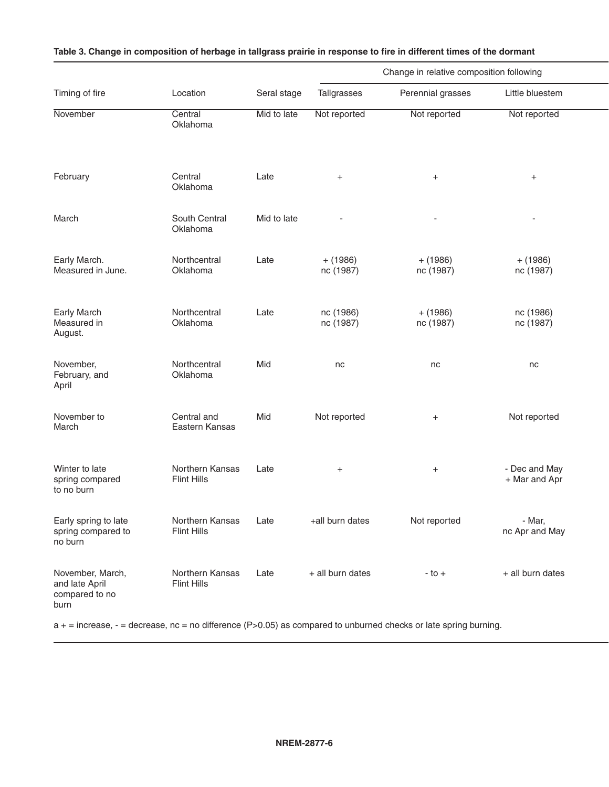|                                                              |                                       |             |                         | Change in relative composition following |                                |
|--------------------------------------------------------------|---------------------------------------|-------------|-------------------------|------------------------------------------|--------------------------------|
| Timing of fire                                               | Location                              | Seral stage | Tallgrasses             | Perennial grasses                        | Little bluestem                |
| November                                                     | Central<br>Oklahoma                   | Mid to late | Not reported            | Not reported                             | Not reported                   |
| February                                                     | Central<br>Oklahoma                   | Late        | $+$                     | $\overline{+}$                           | $+$                            |
| March                                                        | South Central<br>Oklahoma             | Mid to late |                         |                                          |                                |
| Early March.<br>Measured in June.                            | Northcentral<br>Oklahoma              | Late        | $+ (1986)$<br>nc (1987) | $+ (1986)$<br>nc (1987)                  | $+ (1986)$<br>nc (1987)        |
| Early March<br>Measured in<br>August.                        | Northcentral<br>Oklahoma              | Late        | nc (1986)<br>nc (1987)  | $+ (1986)$<br>nc (1987)                  | nc (1986)<br>nc (1987)         |
| November,<br>February, and<br>April                          | Northcentral<br>Oklahoma              | Mid         | nc                      | nc                                       | nc                             |
| November to<br>March                                         | Central and<br>Eastern Kansas         | Mid         | Not reported            | $+$                                      | Not reported                   |
| Winter to late<br>spring compared<br>to no burn              | Northern Kansas<br>Flint Hills        | Late        | $+$                     | $+$                                      | - Dec and May<br>+ Mar and Apr |
| Early spring to late<br>spring compared to<br>no burn        | Northern Kansas<br><b>Flint Hills</b> | Late        | +all burn dates         | Not reported                             | - Mar,<br>nc Apr and May       |
| November, March,<br>and late April<br>compared to no<br>burn | Northern Kansas<br><b>Flint Hills</b> | Late        | + all burn dates        | $-to +$                                  | + all burn dates               |

### Table 3. Change in composition of herbage in tallgrass prairie in response to fire in different times of the dormant

 $a + i$  increase,  $- i$  decrease, nc = no difference (P>0.05) as compared to unburned checks or late spring burning.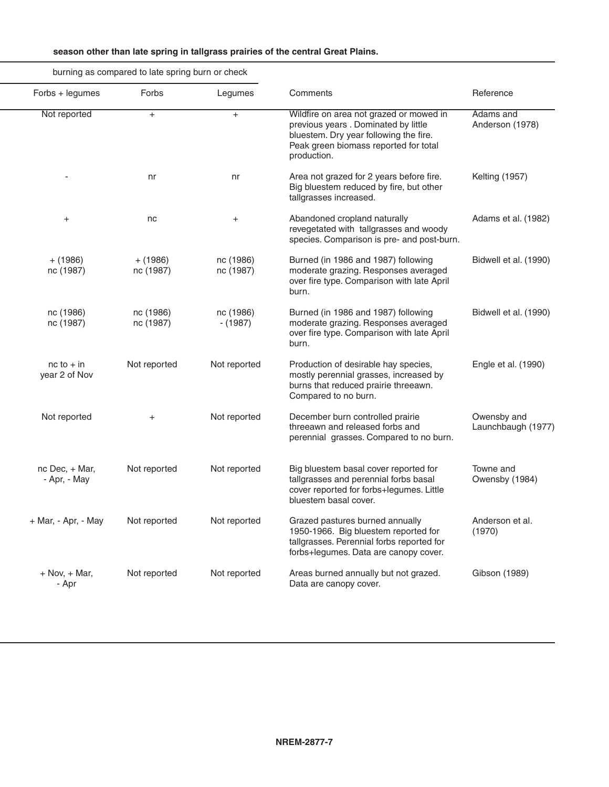|  | season other than late spring in tallgrass prairies of the central Great Plains. |
|--|----------------------------------------------------------------------------------|
|--|----------------------------------------------------------------------------------|

|                                   |                                                                                                                                                                                   |                         | burning as compared to late spring burn or check |                                 |
|-----------------------------------|-----------------------------------------------------------------------------------------------------------------------------------------------------------------------------------|-------------------------|--------------------------------------------------|---------------------------------|
| Reference                         | Comments                                                                                                                                                                          | Legumes                 | Forbs                                            | Forbs + legumes                 |
| Adams and<br>Anderson (1978)      | Wildfire on area not grazed or mowed in<br>previous years . Dominated by little<br>bluestem. Dry year following the fire.<br>Peak green biomass reported for total<br>production. | $+$                     | $+$                                              | Not reported                    |
| <b>Kelting (1957)</b>             | Area not grazed for 2 years before fire.<br>Big bluestem reduced by fire, but other<br>tallgrasses increased.                                                                     | nr                      | nr                                               |                                 |
| Adams et al. (1982)               | Abandoned cropland naturally<br>revegetated with tallgrasses and woody<br>species. Comparison is pre- and post-burn.                                                              | $\ddot{}$               | nc                                               |                                 |
| Bidwell et al. (1990)             | Burned (in 1986 and 1987) following<br>moderate grazing. Responses averaged<br>over fire type. Comparison with late April<br>burn.                                                | nc (1986)<br>nc (1987)  | $+ (1986)$<br>nc (1987)                          | $+ (1986)$<br>nc (1987)         |
| Bidwell et al. (1990)             | Burned (in 1986 and 1987) following<br>moderate grazing. Responses averaged<br>over fire type. Comparison with late April<br>burn.                                                | nc (1986)<br>$- (1987)$ | nc (1986)<br>nc (1987)                           | nc (1986)<br>nc (1987)          |
| Engle et al. (1990)               | Production of desirable hay species,<br>mostly perennial grasses, increased by<br>burns that reduced prairie threeawn.<br>Compared to no burn.                                    | Not reported            | Not reported                                     | $nc$ to $+$ in<br>year 2 of Nov |
| Owensby and<br>Launchbaugh (1977) | December burn controlled prairie<br>threeawn and released forbs and<br>perennial grasses. Compared to no burn.                                                                    | Not reported            | $+$                                              | Not reported                    |
| Towne and<br>Owensby (1984)       | Big bluestem basal cover reported for<br>tallgrasses and perennial forbs basal<br>cover reported for forbs+legumes. Little<br>bluestem basal cover.                               | Not reported            | Not reported                                     | nc Dec, + Mar,<br>- Apr, - May  |
| Anderson et al.<br>(1970)         | Grazed pastures burned annually<br>1950-1966. Big bluestem reported for<br>tallgrasses. Perennial forbs reported for<br>forbs+legumes. Data are canopy cover.                     | Not reported            | Not reported                                     | + Mar, - Apr, - May             |
| Gibson (1989)                     | Areas burned annually but not grazed.<br>Data are canopy cover.                                                                                                                   | Not reported            | Not reported                                     | $+$ Nov, $+$ Mar,<br>- Apr      |
|                                   |                                                                                                                                                                                   |                         |                                                  |                                 |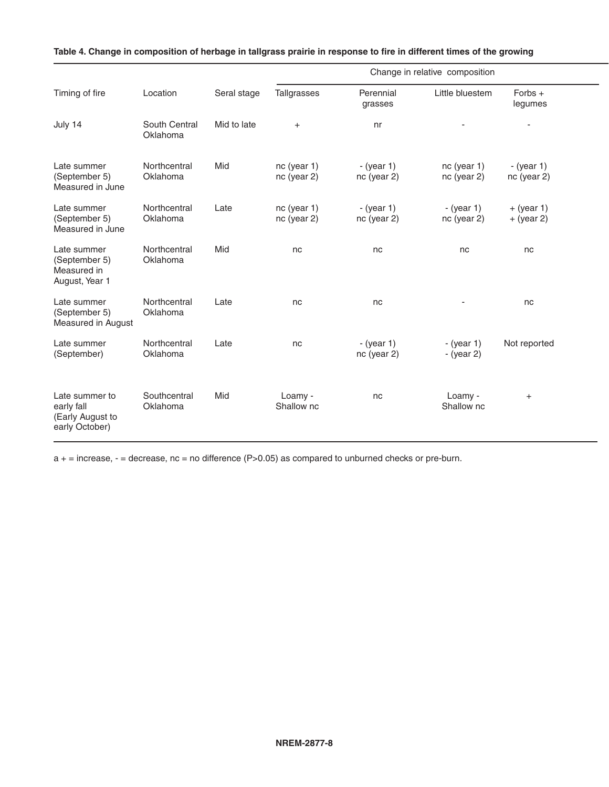|                                                                    |                           |             |                            |                                   | Change in relative composition |                                  |
|--------------------------------------------------------------------|---------------------------|-------------|----------------------------|-----------------------------------|--------------------------------|----------------------------------|
| Timing of fire                                                     | Location                  | Seral stage | Tallgrasses                | Perennial<br>grasses              | Little bluestem                | Forbs +<br>legumes               |
| July 14                                                            | South Central<br>Oklahoma | Mid to late | $+$                        | nr                                |                                |                                  |
| Late summer<br>(September 5)<br>Measured in June                   | Northcentral<br>Oklahoma  | Mid         | nc (year 1)<br>nc (year 2) | $-(year 1)$<br>nc (year 2)        | nc (year 1)<br>nc (year 2)     | - $(year 1)$<br>$nc$ (year $2$ ) |
| Late summer<br>(September 5)<br>Measured in June                   | Northcentral<br>Oklahoma  | Late        | nc (year 1)<br>nc (year 2) | $-(year 1)$<br>nc (year 2)        | - $(year 1)$<br>nc (year 2)    | $+$ (year 1)<br>$+$ (year 2)     |
| Late summer<br>(September 5)<br>Measured in<br>August, Year 1      | Northcentral<br>Oklahoma  | Mid         | nc                         | nc                                | nc                             | nc                               |
| Late summer<br>(September 5)<br>Measured in August                 | Northcentral<br>Oklahoma  | Late        | nc                         | nc                                |                                | nc                               |
| Late summer<br>(September)                                         | Northcentral<br>Oklahoma  | Late        | nc                         | $-(\text{year }1)$<br>nc (year 2) | - (year $1$ )<br>- (year $2$ ) | Not reported                     |
| Late summer to<br>early fall<br>(Early August to<br>early October) | Southcentral<br>Oklahoma  | Mid         | Loamy -<br>Shallow nc      | nc                                | Loamy -<br>Shallow nc          | $\ddot{}$                        |

|  |  |  | Table 4. Change in composition of herbage in tallgrass prairie in response to fire in different times of the growing |  |
|--|--|--|----------------------------------------------------------------------------------------------------------------------|--|
|  |  |  |                                                                                                                      |  |

a + = increase, - = decrease, nc = no difference (P>0.05) as compared to unburned checks or pre-burn.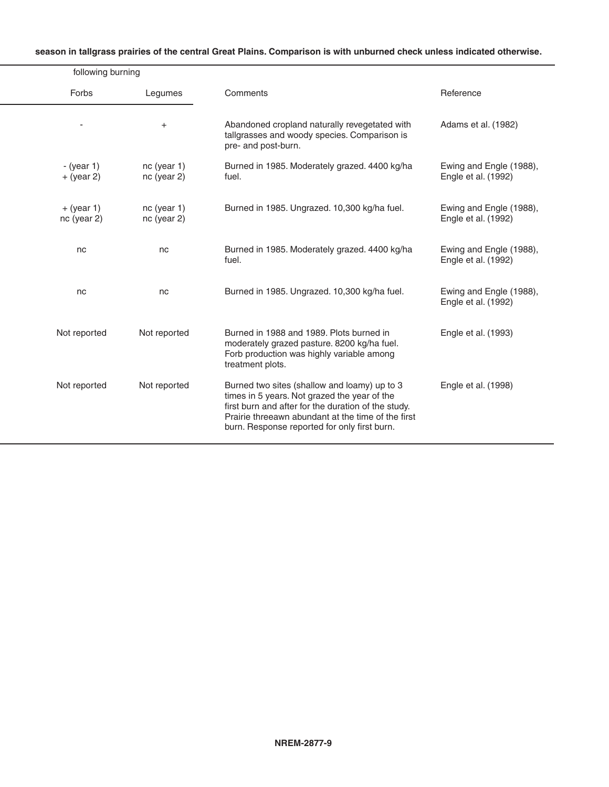| season in tallgrass prairies of the central Great Plains. Comparison is with unburned check unless indicated otherwise. |
|-------------------------------------------------------------------------------------------------------------------------|
|                                                                                                                         |
|                                                                                                                         |
|                                                                                                                         |

|                                                |                                                                                                                                                                                                                                                           |                            | following burning            |
|------------------------------------------------|-----------------------------------------------------------------------------------------------------------------------------------------------------------------------------------------------------------------------------------------------------------|----------------------------|------------------------------|
| Reference                                      | Comments                                                                                                                                                                                                                                                  | Legumes                    | Forbs                        |
| Adams et al. (1982)                            | Abandoned cropland naturally revegetated with<br>tallgrasses and woody species. Comparison is<br>pre- and post-burn.                                                                                                                                      | $+$                        |                              |
| Ewing and Engle (1988),<br>Engle et al. (1992) | Burned in 1985. Moderately grazed. 4400 kg/ha<br>fuel.                                                                                                                                                                                                    | nc (year 1)<br>nc (year 2) | - $(year 1)$<br>$+$ (year 2) |
| Ewing and Engle (1988),<br>Engle et al. (1992) | Burned in 1985. Ungrazed. 10,300 kg/ha fuel.                                                                                                                                                                                                              | nc (year 1)<br>nc (year 2) | $+$ (year 1)<br>nc (year 2)  |
| Ewing and Engle (1988),<br>Engle et al. (1992) | Burned in 1985. Moderately grazed. 4400 kg/ha<br>fuel.                                                                                                                                                                                                    | nc                         | nc                           |
| Ewing and Engle (1988),<br>Engle et al. (1992) | Burned in 1985. Ungrazed. 10,300 kg/ha fuel.                                                                                                                                                                                                              | nc                         | nc                           |
| Engle et al. (1993)                            | Burned in 1988 and 1989. Plots burned in<br>moderately grazed pasture. 8200 kg/ha fuel.<br>Forb production was highly variable among<br>treatment plots.                                                                                                  | Not reported               | Not reported                 |
| Engle et al. (1998)                            | Burned two sites (shallow and loamy) up to 3<br>times in 5 years. Not grazed the year of the<br>first burn and after for the duration of the study.<br>Prairie threeawn abundant at the time of the first<br>burn. Response reported for only first burn. | Not reported               | Not reported                 |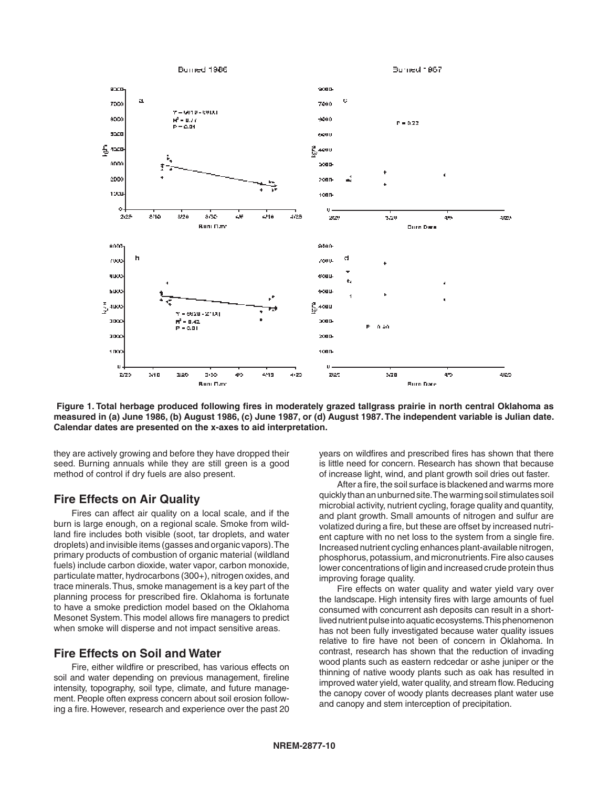

 **Figure 1. Total herbage produced following fires in moderately grazed tallgrass prairie in north central Oklahoma as measured in (a) June 1986, (b) August 1986, (c) June 1987, or (d) August 1987. The independent variable is Julian date. Calendar dates are presented on the x-axes to aid interpretation.**

they are actively growing and before they have dropped their seed. Burning annuals while they are still green is a good method of control if dry fuels are also present.

### **Fire Effects on Air Quality**

 Fires can affect air quality on a local scale, and if the burn is large enough, on a regional scale. Smoke from wildland fire includes both visible (soot, tar droplets, and water droplets) and invisible items (gasses and organic vapors). The primary products of combustion of organic material (wildland fuels) include carbon dioxide, water vapor, carbon monoxide, particulate matter, hydrocarbons (300+), nitrogen oxides, and trace minerals. Thus, smoke management is a key part of the planning process for prescribed fire. Oklahoma is fortunate to have a smoke prediction model based on the Oklahoma Mesonet System. This model allows fire managers to predict when smoke will disperse and not impact sensitive areas.

### **Fire Effects on Soil and Water**

 Fire, either wildfire or prescribed, has various effects on soil and water depending on previous management, fireline intensity, topography, soil type, climate, and future management. People often express concern about soil erosion following a fire. However, research and experience over the past 20 years on wildfires and prescribed fires has shown that there is little need for concern. Research has shown that because of increase light, wind, and plant growth soil dries out faster.

 After a fire, the soil surface is blackened and warms more quickly than an unburned site. The warming soil stimulates soil microbial activity, nutrient cycling, forage quality and quantity, and plant growth. Small amounts of nitrogen and sulfur are volatized during a fire, but these are offset by increased nutrient capture with no net loss to the system from a single fire. Increased nutrient cycling enhances plant-available nitrogen, phosphorus, potassium, and micronutrients. Fire also causes lower concentrations of ligin and increased crude protein thus improving forage quality.

 Fire effects on water quality and water yield vary over the landscape. High intensity fires with large amounts of fuel consumed with concurrent ash deposits can result in a shortlived nutrient pulse into aquatic ecosystems. This phenomenon has not been fully investigated because water quality issues relative to fire have not been of concern in Oklahoma. In contrast, research has shown that the reduction of invading wood plants such as eastern redcedar or ashe juniper or the thinning of native woody plants such as oak has resulted in improved water yield, water quality, and stream flow. Reducing the canopy cover of woody plants decreases plant water use and canopy and stem interception of precipitation.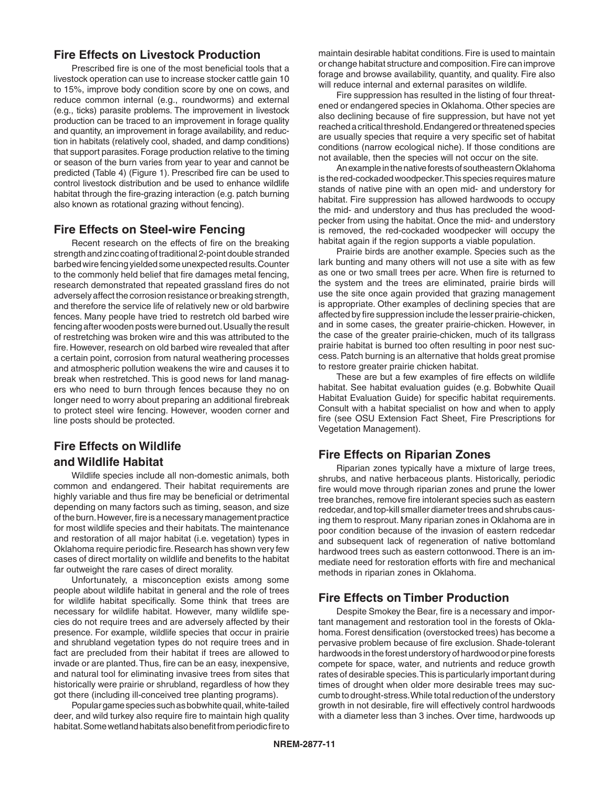### **Fire Effects on Livestock Production**

 Prescribed fire is one of the most beneficial tools that a livestock operation can use to increase stocker cattle gain 10 to 15%, improve body condition score by one on cows, and reduce common internal (e.g., roundworms) and external (e.g., ticks) parasite problems. The improvement in livestock production can be traced to an improvement in forage quality and quantity, an improvement in forage availability, and reduction in habitats (relatively cool, shaded, and damp conditions) that support parasites. Forage production relative to the timing or season of the burn varies from year to year and cannot be predicted (Table 4) (Figure 1). Prescribed fire can be used to control livestock distribution and be used to enhance wildlife habitat through the fire-grazing interaction (e.g. patch burning also known as rotational grazing without fencing).

# **Fire Effects on Steel-wire Fencing**

 Recent research on the effects of fire on the breaking strength and zinc coating of traditional 2-point double stranded barbed wire fencing yielded some unexpected results. Counter to the commonly held belief that fire damages metal fencing, research demonstrated that repeated grassland fires do not adversely affect the corrosion resistance or breaking strength, and therefore the service life of relatively new or old barbwire fences. Many people have tried to restretch old barbed wire fencing after wooden posts were burned out. Usually the result of restretching was broken wire and this was attributed to the fire. However, research on old barbed wire revealed that after a certain point, corrosion from natural weathering processes and atmospheric pollution weakens the wire and causes it to break when restretched. This is good news for land managers who need to burn through fences because they no on longer need to worry about preparing an additional firebreak to protect steel wire fencing. However, wooden corner and line posts should be protected.

# **Fire Effects on Wildlife and Wildlife Habitat**

 Wildlife species include all non-domestic animals, both common and endangered. Their habitat requirements are highly variable and thus fire may be beneficial or detrimental depending on many factors such as timing, season, and size of the burn. However, fire is a necessary management practice for most wildlife species and their habitats. The maintenance and restoration of all major habitat (i.e. vegetation) types in Oklahoma require periodic fire. Research has shown very few cases of direct mortality on wildlife and benefits to the habitat far outweight the rare cases of direct morality.

 Unfortunately, a misconception exists among some people about wildlife habitat in general and the role of trees for wildlife habitat specifically. Some think that trees are necessary for wildlife habitat. However, many wildlife species do not require trees and are adversely affected by their presence. For example, wildlife species that occur in prairie and shrubland vegetation types do not require trees and in fact are precluded from their habitat if trees are allowed to invade or are planted. Thus, fire can be an easy, inexpensive, and natural tool for eliminating invasive trees from sites that historically were prairie or shrubland, regardless of how they got there (including ill-conceived tree planting programs).

 Popular game species such as bobwhite quail, white-tailed deer, and wild turkey also require fire to maintain high quality habitat. Some wetland habitats also benefit from periodic fire to maintain desirable habitat conditions. Fire is used to maintain or change habitat structure and composition. Fire can improve forage and browse availability, quantity, and quality. Fire also will reduce internal and external parasites on wildlife.

 Fire suppression has resulted in the listing of four threatened or endangered species in Oklahoma. Other species are also declining because of fire suppression, but have not yet reached a critical threshold. Endangered or threatened species are usually species that require a very specific set of habitat conditions (narrow ecological niche). If those conditions are not available, then the species will not occur on the site.

 An example in the native forests of southeastern Oklahoma is the red-cockaded woodpecker. This species requires mature stands of native pine with an open mid- and understory for habitat. Fire suppression has allowed hardwoods to occupy the mid- and understory and thus has precluded the woodpecker from using the habitat. Once the mid- and understory is removed, the red-cockaded woodpecker will occupy the habitat again if the region supports a viable population.

 Prairie birds are another example. Species such as the lark bunting and many others will not use a site with as few as one or two small trees per acre. When fire is returned to the system and the trees are eliminated, prairie birds will use the site once again provided that grazing management is appropriate. Other examples of declining species that are affected by fire suppression include the lesser prairie-chicken, and in some cases, the greater prairie-chicken. However, in the case of the greater prairie-chicken, much of its tallgrass prairie habitat is burned too often resulting in poor nest success. Patch burning is an alternative that holds great promise to restore greater prairie chicken habitat.

 These are but a few examples of fire effects on wildlife habitat. See habitat evaluation guides (e.g. Bobwhite Quail Habitat Evaluation Guide) for specific habitat requirements. Consult with a habitat specialist on how and when to apply fire (see OSU Extension Fact Sheet, Fire Prescriptions for Vegetation Management).

# **Fire Effects on Riparian Zones**

 Riparian zones typically have a mixture of large trees, shrubs, and native herbaceous plants. Historically, periodic fire would move through riparian zones and prune the lower tree branches, remove fire intolerant species such as eastern redcedar, and top-kill smaller diameter trees and shrubs causing them to resprout. Many riparian zones in Oklahoma are in poor condition because of the invasion of eastern redcedar and subsequent lack of regeneration of native bottomland hardwood trees such as eastern cottonwood. There is an immediate need for restoration efforts with fire and mechanical methods in riparian zones in Oklahoma.

# **Fire Effects on Timber Production**

 Despite Smokey the Bear, fire is a necessary and important management and restoration tool in the forests of Oklahoma. Forest densification (overstocked trees) has become a pervasive problem because of fire exclusion. Shade-tolerant hardwoods in the forest understory of hardwood or pine forests compete for space, water, and nutrients and reduce growth rates of desirable species. This is particularly important during times of drought when older more desirable trees may succumb to drought-stress. While total reduction of the understory growth in not desirable, fire will effectively control hardwoods with a diameter less than 3 inches. Over time, hardwoods up